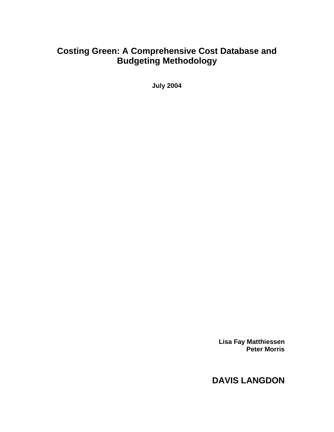# **Costing Green: A Comprehensive Cost Database and Budgeting Methodology**

**July 2004**

**Lisa Fay Matthiessen Peter Morris**

# **DAVIS LANGDON**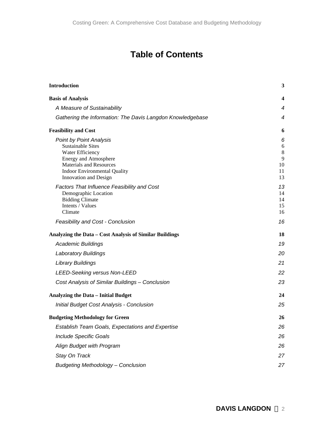# **Table of Contents**

| <b>Introduction</b>                                                                                                                                                                                       | 3                                        |
|-----------------------------------------------------------------------------------------------------------------------------------------------------------------------------------------------------------|------------------------------------------|
| <b>Basis of Analysis</b>                                                                                                                                                                                  | 4                                        |
| A Measure of Sustainability                                                                                                                                                                               | $\overline{4}$                           |
| Gathering the Information: The Davis Langdon Knowledgebase                                                                                                                                                | $\overline{4}$                           |
| <b>Feasibility and Cost</b>                                                                                                                                                                               | 6                                        |
| <b>Point by Point Analysis</b><br><b>Sustainable Sites</b><br>Water Efficiency<br>Energy and Atmosphere<br><b>Materials and Resources</b><br><b>Indoor Environmental Quality</b><br>Innovation and Design | 6<br>6<br>$\,8\,$<br>9<br>10<br>11<br>13 |
| Factors That Influence Feasibility and Cost<br>Demographic Location<br><b>Bidding Climate</b><br>Intents / Values<br>Climate                                                                              | 13<br>14<br>14<br>15<br>16               |
| Feasibility and Cost - Conclusion                                                                                                                                                                         | 16                                       |
| Analyzing the Data - Cost Analysis of Similar Buildings                                                                                                                                                   | 18                                       |
| <b>Academic Buildings</b>                                                                                                                                                                                 | 19                                       |
| <b>Laboratory Buildings</b>                                                                                                                                                                               | 20                                       |
| <b>Library Buildings</b>                                                                                                                                                                                  | 21                                       |
| <b>LEED-Seeking versus Non-LEED</b>                                                                                                                                                                       | 22                                       |
| Cost Analysis of Similar Buildings - Conclusion                                                                                                                                                           | 23                                       |
| <b>Analyzing the Data - Initial Budget</b>                                                                                                                                                                | 24                                       |
| Initial Budget Cost Analysis - Conclusion                                                                                                                                                                 | 25                                       |
| <b>Budgeting Methodology for Green</b>                                                                                                                                                                    | 26                                       |
| <b>Establish Team Goals, Expectations and Expertise</b>                                                                                                                                                   | 26                                       |
| Include Specific Goals                                                                                                                                                                                    | 26                                       |
| Align Budget with Program                                                                                                                                                                                 | 26                                       |
| Stay On Track                                                                                                                                                                                             | 27                                       |
| <b>Budgeting Methodology - Conclusion</b>                                                                                                                                                                 | 27                                       |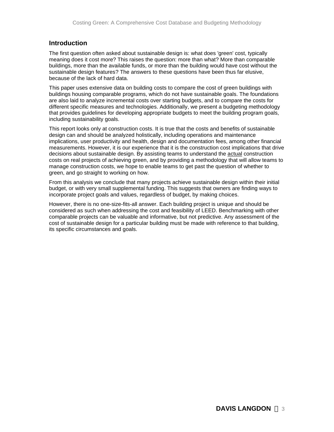# **Introduction**

The first question often asked about sustainable design is: what does 'green' cost, typically meaning does it cost more? This raises the question: more than what? More than comparable buildings, more than the available funds, or more than the building would have cost without the sustainable design features? The answers to these questions have been thus far elusive, because of the lack of hard data.

This paper uses extensive data on building costs to compare the cost of green buildings with buildings housing comparable programs, which do not have sustainable goals. The foundations are also laid to analyze incremental costs over starting budgets, and to compare the costs for different specific measures and technologies. Additionally, we present a budgeting methodology that provides guidelines for developing appropriate budgets to meet the building program goals, including sustainability goals.

This report looks only at construction costs. It is true that the costs and benefits of sustainable design can and should be analyzed holistically, including operations and maintenance implications, user productivity and health, design and documentation fees, among other financial measurements. However, it is our experience that it is the construction cost implications that drive decisions about sustainable design. By assisting teams to understand the actual construction costs on real projects of achieving green, and by providing a methodology that will allow teams to manage construction costs, we hope to enable teams to get past the question of whether to green, and go straight to working on how.

From this analysis we conclude that many projects achieve sustainable design within their initial budget, or with very small supplemental funding. This suggests that owners are finding ways to incorporate project goals and values, regardless of budget, by making choices.

However, there is no one-size-fits-all answer. Each building project is unique and should be considered as such when addressing the cost and feasibility of LEED. Benchmarking with other comparable projects can be valuable and informative, but not predictive. Any assessment of the cost of sustainable design for a particular building must be made with reference to that building, its specific circumstances and goals.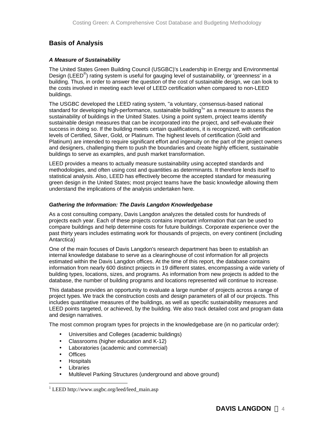# **Basis of Analysis**

# *A Measure of Sustainability*

The United States Green Building Council (USGBC)'s Leadership in Energy and Environmental Design (LEED<sup>®</sup>) rating system is useful for gauging level of sustainability, or 'greenness' in a building. Thus, in order to answer the question of the cost of sustainable design, we can look to the costs involved in meeting each level of LEED certification when compared to non-LEED buildings.

The USGBC developed the LEED rating system, "a voluntary, consensus-based national standard for developing high-performance, sustainable building<sup>1</sup>" as a measure to assess the sustainability of buildings in the United States. Using a point system, project teams identify sustainable design measures that can be incorporated into the project, and self-evaluate their success in doing so. If the building meets certain qualifications, it is recognized, with certification levels of Certified, Silver, Gold, or Platinum. The highest levels of certification (Gold and Platinum) are intended to require significant effort and ingenuity on the part of the project owners and designers, challenging them to push the boundaries and create highly efficient, sustainable buildings to serve as examples, and push market transformation.

LEED provides a means to actually measure sustainability using accepted standards and methodologies, and often using cost and quantities as determinants. It therefore lends itself to statistical analysis. Also, LEED has effectively become the accepted standard for measuring green design in the United States; most project teams have the basic knowledge allowing them understand the implications of the analysis undertaken here.

# *Gathering the Information: The Davis Langdon Knowledgebase*

As a cost consulting company, Davis Langdon analyzes the detailed costs for hundreds of projects each year. Each of these projects contains important information that can be used to compare buildings and help determine costs for future buildings. Corporate experience over the past thirty years includes estimating work for thousands of projects, on every continent (including Antarctica)

One of the main focuses of Davis Langdon's research department has been to establish an internal knowledge database to serve as a clearinghouse of cost information for all projects estimated within the Davis Langdon offices. At the time of this report, the database contains information from nearly 600 distinct projects in 19 different states, encompassing a wide variety of building types, locations, sizes, and programs. As information from new projects is added to the database, the number of building programs and locations represented will continue to increase.

This database provides an opportunity to evaluate a large number of projects across a range of project types. We track the construction costs and design parameters of all of our projects. This includes quantitative measures of the buildings, as well as specific sustainability measures and LEED points targeted, or achieved, by the building. We also track detailed cost and program data and design narratives.

The most common program types for projects in the knowledgebase are (in no particular order):

- Universities and Colleges (academic buildings)
- Classrooms (higher education and K-12)
- Laboratories (academic and commercial)
- Offices
- Hospitals
- **Libraries**

1

• Multilevel Parking Structures (underground and above ground)

<sup>&</sup>lt;sup>1</sup> LEED http://www.usgbc.org/leed/leed\_main.asp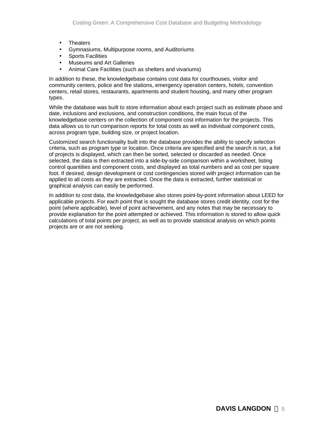- Theaters
- Gymnasiums, Multipurpose rooms, and Auditoriums
- Sports Facilities
- Museums and Art Galleries
- Animal Care Facilities (such as shelters and vivariums)

In addition to these, the knowledgebase contains cost data for courthouses, visitor and community centers, police and fire stations, emergency operation centers, hotels, convention centers, retail stores, restaurants, apartments and student housing, and many other program types.

While the database was built to store information about each project such as estimate phase and date, inclusions and exclusions, and construction conditions, the main focus of the knowledgebase centers on the collection of component cost information for the projects. This data allows us to run comparison reports for total costs as well as individual component costs, across program type, building size, or project location.

Customized search functionality built into the database provides the ability to specify selection criteria, such as program type or location. Once criteria are specified and the search is run, a list of projects is displayed, which can then be sorted, selected or discarded as needed. Once selected, the data is then extracted into a side-by-side comparison within a worksheet, listing control quantities and component costs, and displayed as total numbers and as cost per square foot. If desired, design development or cost contingencies stored with project information can be applied to all costs as they are extracted. Once the data is extracted, further statistical or graphical analysis can easily be performed.

In addition to cost data, the knowledgebase also stores point-by-point information about LEED for applicable projects. For each point that is sought the database stores credit identity, cost for the point (where applicable), level of point achievement, and any notes that may be necessary to provide explanation for the point attempted or achieved. This information is stored to allow quick calculations of total points per project, as well as to provide statistical analysis on which points projects are or are not seeking.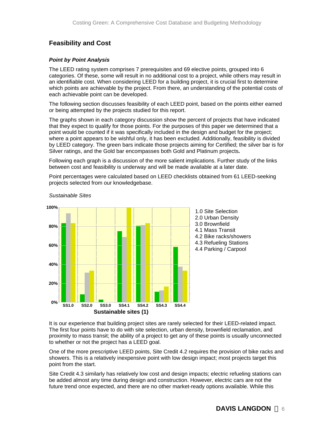# **Feasibility and Cost**

### *Point by Point Analysis*

The LEED rating system comprises 7 prerequisites and 69 elective points, grouped into 6 categories. Of these, some will result in no additional cost to a project, while others may result in an identifiable cost. When considering LEED for a building project, it is crucial first to determine which points are achievable by the project. From there, an understanding of the potential costs of each achievable point can be developed.

The following section discusses feasibility of each LEED point, based on the points either earned or being attempted by the projects studied for this report.

The graphs shown in each category discussion show the percent of projects that have indicated that they expect to qualify for those points. For the purposes of this paper we determined that a point would be counted if it was specifically included in the design and budget for the project; where a point appears to be wishful only, it has been excluded. Additionally, feasibility is divided by LEED category. The green bars indicate those projects aiming for Certified; the silver bar is for Silver ratings, and the Gold bar encompasses both Gold and Platinum projects*.* 

Following each graph is a discussion of the more salient implications. Further study of the links between cost and feasibility is underway and will be made available at a later date.

Point percentages were calculated based on LEED checklists obtained from 61 LEED-seeking projects selected from our knowledgebase.



*Sustainable Sites*

It is our experience that building project sites are rarely selected for their LEED-related impact. The first four points have to do with site selection, urban density, brownfield reclamation, and proximity to mass transit; the ability of a project to get any of these points is usually unconnected to whether or not the project has a LEED goal.

One of the more prescriptive LEED points, Site Credit 4.2 requires the provision of bike racks and showers. This is a relatively inexpensive point with low design impact; most projects target this point from the start.

Site Credit 4.3 similarly has relatively low cost and design impacts; electric refueling stations can be added almost any time during design and construction. However, electric cars are not the future trend once expected, and there are no other market-ready options available. While this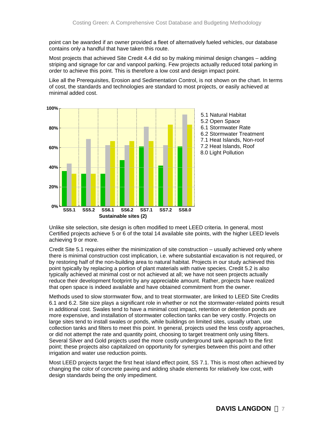point can be awarded if an owner provided a fleet of alternatively fueled vehicles, our database contains only a handful that have taken this route.

Most projects that achieved Site Credit 4.4 did so by making minimal design changes – adding striping and signage for car and vanpool parking. Few projects actually reduced total parking in order to achieve this point. This is therefore a low cost and design impact point.

Like all the Prerequisites, Erosion and Sedimentation Control, is not shown on the chart. In terms of cost, the standards and technologies are standard to most projects, or easily achieved at minimal added cost.



Unlike site selection, site design is often modified to meet LEED criteria. In general, most Certified projects achieve 5 or 6 of the total 14 available site points, with the higher LEED levels achieving 9 or more.

Credit Site 5.1 requires either the minimization of site construction – usually achieved only where there is minimal construction cost implication, i.e. where substantial excavation is not required, or by restoring half of the non-building area to natural habitat. Projects in our study achieved this point typically by replacing a portion of plant materials with native species. Credit 5.2 is also typically achieved at minimal cost or not achieved at all; we have not seen projects actually reduce their development footprint by any appreciable amount. Rather, projects have realized that open space is indeed available and have obtained commitment from the owner.

Methods used to slow stormwater flow, and to treat stormwater, are linked to LEED Site Credits 6.1 and 6.2. Site size plays a significant role in whether or not the stormwater-related points result in additional cost. Swales tend to have a minimal cost impact, retention or detention ponds are more expensive, and installation of stormwater collection tanks can be very costly. Projects on large sites tend to install swales or ponds, while buildings on limited sites, usually urban, use collection tanks and filters to meet this point. In general, projects used the less costly approaches, or did not attempt the rate and quantity point, choosing to target treatment only using filters. Several Silver and Gold projects used the more costly underground tank approach to the first point; these projects also capitalized on opportunity for synergies between this point and other irrigation and water use reduction points.

Most LEED projects target the first heat island effect point, SS 7.1. This is most often achieved by changing the color of concrete paving and adding shade elements for relatively low cost, with design standards being the only impediment.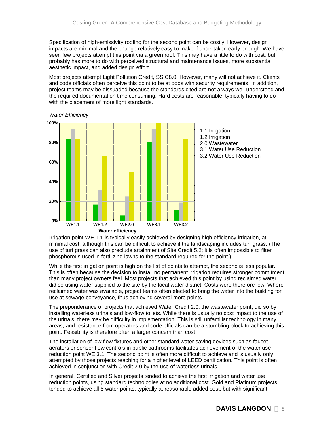Specification of high-emissivity roofing for the second point can be costly. However, design impacts are minimal and the change relatively easy to make if undertaken early enough. We have seen few projects attempt this point via a green roof. This may have a little to do with cost, but probably has more to do with perceived structural and maintenance issues, more substantial aesthetic impact, and added design effort.

Most projects attempt Light Pollution Credit, SS C8.0. However, many will not achieve it. Clients and code officials often perceive this point to be at odds with security requirements. In addition, project teams may be dissuaded because the standards cited are not always well understood and the required documentation time consuming. Hard costs are reasonable, typically having to do with the placement of more light standards.



*Water Efficiency*

Irrigation point WE 1.1 is typically easily achieved by designing high efficiency irrigation, at minimal cost, although this can be difficult to achieve if the landscaping includes turf grass. (The use of turf grass can also preclude attainment of Site Credit 5.2; it is often impossible to filter phosphorous used in fertilizing lawns to the standard required for the point.)

While the first irrigation point is high on the list of points to attempt, the second is less popular. This is often because the decision to install no permanent irrigation requires stronger commitment than many project owners feel. Most projects that achieved this point by using reclaimed water did so using water supplied to the site by the local water district. Costs were therefore low. Where reclaimed water was available, project teams often elected to bring the water into the building for use at sewage conveyance, thus achieving several more points.

The preponderance of projects that achieved Water Credit 2.0, the wastewater point, did so by installing waterless urinals and low-flow toilets. While there is usually no cost impact to the use of the urinals, there may be difficulty in implementation. This is still unfamiliar technology in many areas, and resistance from operators and code officials can be a stumbling block to achieving this point. Feasibility is therefore often a larger concern than cost.

The installation of low flow fixtures and other standard water saving devices such as faucet aerators or sensor flow controls in public bathrooms facilitates achievement of the water use reduction point WE 3.1. The second point is often more difficult to achieve and is usually only attempted by those projects reaching for a higher level of LEED certification. This point is often achieved in conjunction with Credit 2.0 by the use of waterless urinals.

In general, Certified and Silver projects tended to achieve the first irrigation and water use reduction points, using standard technologies at no additional cost. Gold and Platinum projects tended to achieve all 5 water points, typically at reasonable added cost, but with significant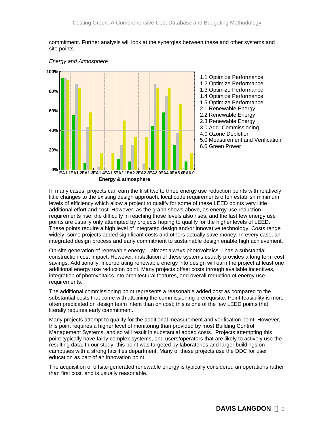commitment. Further analysis will look at the synergies between these and other systems and site points.



*Energy and Atmosphere*

In many cases, projects can earn the first two to three energy use reduction points with relatively little changes to the existing design approach. local code requirements often establish minimum levels of efficiency which allow a project to qualify for some of these LEED points very little additional effort and cost. However, as the graph shows above, as energy use reduction requirements rise, the difficulty in reaching those levels also rises, and the last few energy use points are usually only attempted by projects hoping to qualify for the higher levels of LEED. These points require a high level of integrated design and/or innovative technology. Costs range widely; some projects added significant costs and others actually save money. In every case, an integrated design process and early commitment to sustainable design enable high achievement.

On-site generation of renewable energy – almost always photovoltaics – has a substantial construction cost impact. However, installation of these systems usually provides a long term cost savings. Additionally, incorporating renewable energy into design will earn the project at least one additional energy use reduction point. Many projects offset costs through available incentives, integration of photovoltaics into architectural features, and overall reduction of energy use requirements.

The additional commissioning point represents a reasonable added cost as compared to the substantial costs that come with attaining the commissioning prerequisite. Point feasibility is more often predicated on design team intent than on cost; this is one of the few LEED points that literally requires early commitment.

Many projects attempt to qualify for the additional measurement and verification point. However, this point requires a higher level of monitoring than provided by most Building Control Management Systems, and so will result in substantial added costs. Projects attempting this point typically have fairly complex systems, and users/operators that are likely to actively use the resulting data. In our study, this point was targeted by laboratories and larger buildings on campuses with a strong facilities department. Many of these projects use the DDC for user education as part of an innovation point.

The acquisition of offsite-generated renewable energy is typically considered an operations rather than first cost, and is usually reasonable.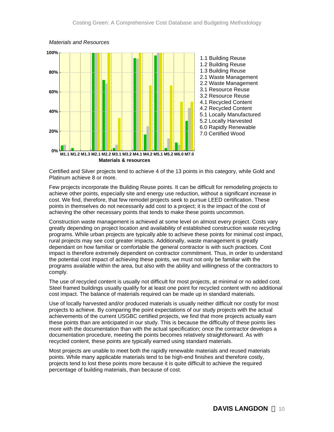

#### *Materials and Resources*

Certified and Silver projects tend to achieve 4 of the 13 points in this category, while Gold and Platinum achieve 8 or more.

Few projects incorporate the Building Reuse points. It can be difficult for remodeling projects to achieve other points, especially site and energy use reduction, without a significant increase in cost. We find, therefore, that few remodel projects seek to pursue LEED certification. These points in themselves do not necessarily add cost to a project; it is the impact of the cost of achieving the other necessary points that tends to make these points uncommon.

Construction waste management is achieved at some level on almost every project. Costs vary greatly depending on project location and availability of established construction waste recycling programs. While urban projects are typically able to achieve these points for minimal cost impact, rural projects may see cost greater impacts. Additionally, waste management is greatly dependant on how familiar or comfortable the general contractor is with such practices. Cost impact is therefore extremely dependent on contractor commitment. Thus, in order to understand the potential cost impact of achieving these points, we must not only be familiar with the programs available within the area, but also with the ability and willingness of the contractors to comply.

The use of recycled content is usually not difficult for most projects, at minimal or no added cost. Steel framed buildings usually qualify for at least one point for recycled content with no additional cost impact. The balance of materials required can be made up in standard materials.

Use of locally harvested and/or produced materials is usually neither difficult nor costly for most projects to achieve. By comparing the point expectations of our study projects with the actual achievements of the current USGBC certified projects, we find that more projects actually earn these points than are anticipated in our study. This is because the difficulty of these points lies more with the documentation than with the actual specification; once the contractor develops a documentation procedure, meeting the points becomes relatively straightforward. As with recycled content, these points are typically earned using standard materials.

Most projects are unable to meet both the rapidly renewable materials and reused materials points. While many applicable materials tend to be high-end finishes and therefore costly, projects tend to lost these points more because it is quite difficult to achieve the required percentage of building materials, than because of cost.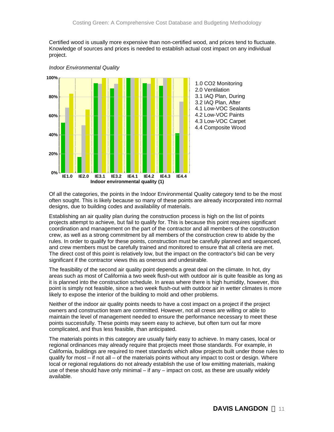Certified wood is usually more expensive than non-certified wood, and prices tend to fluctuate. Knowledge of sources and prices is needed to establish actual cost impact on any individual project.



*Indoor Environmental Quality*

Of all the categories, the points in the Indoor Environmental Quality category tend to be the most often sought. This is likely because so many of these points are already incorporated into normal designs, due to building codes and availability of materials.

Establishing an air quality plan during the construction process is high on the list of points projects attempt to achieve, but fail to qualify for. This is because this point requires significant coordination and management on the part of the contractor and all members of the construction crew, as well as a strong commitment by all members of the construction crew to abide by the rules. In order to qualify for these points, construction must be carefully planned and sequenced, and crew members must be carefully trained and monitored to ensure that all criteria are met. The direct cost of this point is relatively low, but the impact on the contractor's bid can be very significant if the contractor views this as onerous and undesirable.

The feasibility of the second air quality point depends a great deal on the climate. In hot, dry areas such as most of California a two week flush-out with outdoor air is quite feasible as long as it is planned into the construction schedule. In areas where there is high humidity, however, this point is simply not feasible, since a two week flush-out with outdoor air in wetter climates is more likely to expose the interior of the building to mold and other problems.

Neither of the indoor air quality points needs to have a cost impact on a project if the project owners and construction team are committed. However, not all crews are willing or able to maintain the level of management needed to ensure the performance necessary to meet these points successfully. These points may seem easy to achieve, but often turn out far more complicated, and thus less feasible, than anticipated.

The materials points in this category are usually fairly easy to achieve. In many cases, local or regional ordinances may already require that projects meet those standards. For example, in California, buildings are required to meet standards which allow projects built under those rules to qualify for most – if not all – of the materials points without any impact to cost or design. Where local or regional regulations do not already establish the use of low emitting materials, making use of these should have only minimal – if any – impact on cost, as these are usually widely available.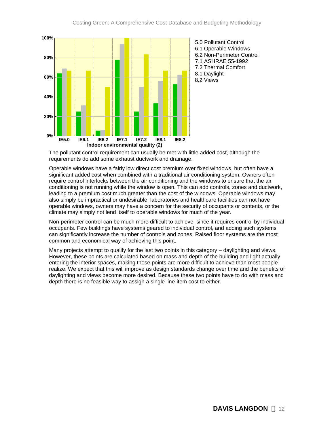

The pollutant control requirement can usually be met with little added cost, although the requirements do add some exhaust ductwork and drainage.

Operable windows have a fairly low direct cost premium over fixed windows, but often have a significant added cost when combined with a traditional air conditioning system. Owners often require control interlocks between the air conditioning and the windows to ensure that the air conditioning is not running while the window is open. This can add controls, zones and ductwork, leading to a premium cost much greater than the cost of the windows. Operable windows may also simply be impractical or undesirable; laboratories and healthcare facilities can not have operable windows, owners may have a concern for the security of occupants or contents, or the climate may simply not lend itself to operable windows for much of the year.

Non-perimeter control can be much more difficult to achieve, since it requires control by individual occupants. Few buildings have systems geared to individual control, and adding such systems can significantly increase the number of controls and zones. Raised floor systems are the most common and economical way of achieving this point.

Many projects attempt to qualify for the last two points in this category – daylighting and views. However, these points are calculated based on mass and depth of the building and light actually entering the interior spaces, making these points are more difficult to achieve than most people realize. We expect that this will improve as design standards change over time and the benefits of daylighting and views become more desired. Because these two points have to do with mass and depth there is no feasible way to assign a single line-item cost to either.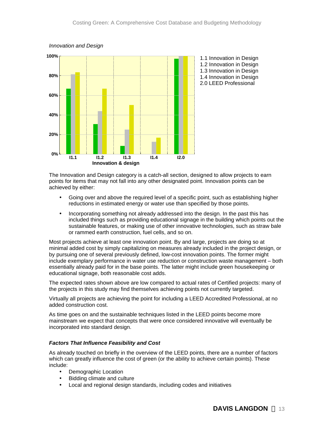

*Innovation and Design*

The Innovation and Design category is a catch-all section, designed to allow projects to earn points for items that may not fall into any other designated point. Innovation points can be achieved by either:

- Going over and above the required level of a specific point, such as establishing higher reductions in estimated energy or water use than specified by those points.
- Incorporating something not already addressed into the design. In the past this has included things such as providing educational signage in the building which points out the sustainable features, or making use of other innovative technologies, such as straw bale or rammed earth construction, fuel cells, and so on.

Most projects achieve at least one innovation point. By and large, projects are doing so at minimal added cost by simply capitalizing on measures already included in the project design, or by pursuing one of several previously defined, low-cost innovation points. The former might include exemplary performance in water use reduction or construction waste management – both essentially already paid for in the base points. The latter might include green housekeeping or educational signage, both reasonable cost adds.

The expected rates shown above are low compared to actual rates of Certified projects: many of the projects in this study may find themselves achieving points not currently targeted.

Virtually all projects are achieving the point for including a LEED Accredited Professional, at no added construction cost.

As time goes on and the sustainable techniques listed in the LEED points become more mainstream we expect that concepts that were once considered innovative will eventually be incorporated into standard design.

#### *Factors That Influence Feasibility and Cost*

As already touched on briefly in the overview of the LEED points, there are a number of factors which can greatly influence the cost of green (or the ability to achieve certain points). These include:

- Demographic Location
- Bidding climate and culture
- Local and regional design standards, including codes and initiatives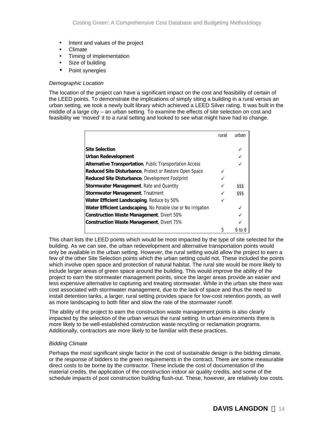- Intent and values of the project
- Climate
- Timing of implementation
- Size of building
- Point synergies

#### *Demographic Location*

The location of the project can have a significant impact on the cost and feasibility of certain of the LEED points. To demonstrate the implications of simply siting a building in a rural versus an urban setting, we took a newly built library which achieved a LEED Silver rating. It was built in the middle of a large city – an urban setting. To examine the effects of site selection on cost and feasibility we 'moved' it to a rural setting and looked to see what might have had to change.

|                                                                | rural | urban  |
|----------------------------------------------------------------|-------|--------|
|                                                                |       |        |
| <b>Site Selection</b>                                          |       |        |
| <b>Urban Redevelopment</b>                                     |       |        |
| Alternative Transportation, Public Transportation Access       |       |        |
| <b>Reduced Site Disturbance, Protect or Restore Open Space</b> |       |        |
| Reduced Site Disturbance, Development Footprint                |       |        |
| Stormwater Management, Rate and Quantity                       |       | \$\$\$ |
| <b>Stormwater Management, Treatment</b>                        |       | \$\$\$ |
| Water Efficient Landscaping, Reduce by 50%                     |       |        |
| Water Efficient Landscaping, No Potable Use or No Irrigation   |       |        |
| <b>Construction Waste Management, Divert 50%</b>               |       |        |
| <b>Construction Waste Management, Divert 75%</b>               |       |        |
|                                                                | 5     | 6 to 8 |

This chart lists the LEED points which would be most impacted by the type of site selected for the building. As we can see, the urban redevelopment and alternative transportation points would only be available in the urban setting. However, the rural setting would allow the project to earn a few of the other Site Selection points which the urban setting could not. These included the points which involve open space and protection of natural habitat. The rural site would be more likely to include larger areas of green space around the building. This would improve the ability of the project to earn the stormwater management points, since the larger areas provide an easier and less expensive alternative to capturing and treating stormwater. While in the urban site there was cost associated with stormwater management, due to the lack of space and thus the need to install detention tanks, a larger, rural setting provides space for low-cost retention ponds, as well as more landscaping to both filter and slow the rate of the stormwater runoff.

The ability of the project to earn the construction waste management points is also clearly impacted by the selection of the urban versus the rural setting. In urban environments there is more likely to be well-established construction waste recycling or reclamation programs. Additionally, contractors are more likely to be familiar with these practices.

#### *Bidding Climate*

Perhaps the most significant single factor in the cost of sustainable design is the bidding climate, or the response of bidders to the green requirements in the contract. There are some measurable direct costs to be borne by the contractor. These include the cost of documentation of the material credits, the application of the construction indoor air quality credits, and some of the schedule impacts of post construction building flush-out. These, however, are relatively low costs.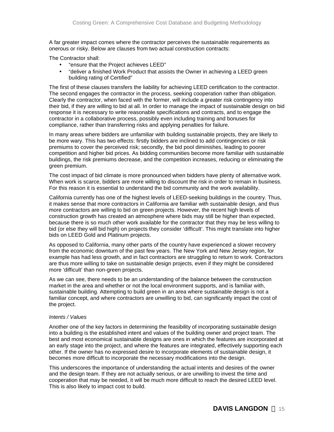A far greater impact comes where the contractor perceives the sustainable requirements as onerous or risky. Below are clauses from two actual construction contracts:

The Contractor shall:

- "ensure that the Project achieves LEED"
- "deliver a finished Work Product that assists the Owner in achieving a LEED green building rating of Certified"

The first of these clauses transfers the liability for achieving LEED certification to the contractor. The second engages the contractor in the process, seeking cooperation rather than obligation. Clearly the contractor, when faced with the former, will include a greater risk contingency into their bid, if they are willing to bid at all. In order to manage the impact of sustainable design on bid response it is necessary to write reasonable specifications and contracts, and to engage the contractor in a collaborative process, possibly even including training and bonuses for compliance, rather than transferring risks and applying penalties for failure.

In many areas where bidders are unfamiliar with building sustainable projects, they are likely to be more wary. This has two effects: firstly bidders are inclined to add contingencies or risk premiums to cover the perceived risk; secondly, the bid pool diminishes, leading to poorer competition and higher bid prices. As bidding communities become more familiar with sustainable buildings, the risk premiums decrease, and the competition increases, reducing or eliminating the green premium.

The cost impact of bid climate is more pronounced when bidders have plenty of alternative work. When work is scarce, bidders are more willing to discount the risk in order to remain in business. For this reason it is essential to understand the bid community and the work availability.

California currently has one of the highest levels of LEED-seeking buildings in the country. Thus, it makes sense that more contractors in California are familiar with sustainable design, and thus more contractors are willing to bid on green projects. However, the recent high levels of construction growth has created an atmosphere where bids may still be higher than expected, because there is so much other work available for the contractor that they may be less willing to bid (or else they will bid high) on projects they consider 'difficult'. This might translate into higher bids on LEED Gold and Platinum projects.

As opposed to California, many other parts of the country have experienced a slower recovery from the economic downturn of the past few years. The New York and New Jersey region, for example has had less growth, and in fact contractors are struggling to return to work. Contractors are thus more willing to take on sustainable design projects, even if they might be considered more 'difficult' than non-green projects.

As we can see, there needs to be an understanding of the balance between the construction market in the area and whether or not the local environment supports, and is familiar with, sustainable building. Attempting to build green in an area where sustainable design is not a familiar concept, and where contractors are unwilling to bid, can significantly impact the cost of the project.

#### *Intents / Values*

Another one of the key factors in determining the feasibility of incorporating sustainable design into a building is the established intent and values of the building owner and project team. The best and most economical sustainable designs are ones in which the features are incorporated at an early stage into the project, and where the features are integrated, effectively supporting each other. If the owner has no expressed desire to incorporate elements of sustainable design, it becomes more difficult to incorporate the necessary modifications into the design.

This underscores the importance of understanding the actual intents and desires of the owner and the design team. If they are not actually serious, or are unwilling to invest the time and cooperation that may be needed, it will be much more difficult to reach the desired LEED level. This is also likely to impact cost to build.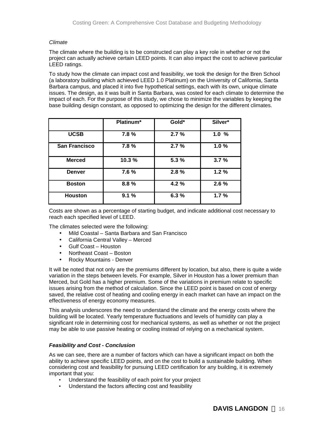### *Climate*

The climate where the building is to be constructed can play a key role in whether or not the project can actually achieve certain LEED points. It can also impact the cost to achieve particular LEED ratings.

To study how the climate can impact cost and feasibility, we took the design for the Bren School (a laboratory building which achieved LEED 1.0 Platinum) on the University of California, Santa Barbara campus, and placed it into five hypothetical settings, each with its own, unique climate issues. The design, as it was built in Santa Barbara, was costed for each climate to determine the impact of each. For the purpose of this study, we chose to minimize the variables by keeping the base building design constant, as opposed to optimizing the design for the different climates.

|                      | Platinum* | Gold* | Silver* |
|----------------------|-----------|-------|---------|
| <b>UCSB</b>          | 7.8%      | 2.7%  | 1.0%    |
| <b>San Francisco</b> | 7.8%      | 2.7%  | 1.0%    |
| <b>Merced</b>        | 10.3%     | 5.3 % | 3.7%    |
| <b>Denver</b>        | 7.6%      | 2.8%  | 1.2%    |
| <b>Boston</b>        | 8.8%      | 4.2 % | 2.6%    |
| <b>Houston</b>       | 9.1%      | 6.3%  | 1.7%    |

Costs are shown as a percentage of starting budget, and indicate additional cost necessary to reach each specified level of LEED.

The climates selected were the following:

- Mild Coastal Santa Barbara and San Francisco
- California Central Valley Merced
- Gulf Coast Houston
- Northeast Coast Boston
- Rocky Mountains Denver

It will be noted that not only are the premiums different by location, but also, there is quite a wide variation in the steps between levels. For example, Silver in Houston has a lower premium than Merced, but Gold has a higher premium. Some of the variations in premium relate to specific issues arising from the method of calculation. Since the LEED point is based on cost of energy saved, the relative cost of heating and cooling energy in each market can have an impact on the effectiveness of energy economy measures.

This analysis underscores the need to understand the climate and the energy costs where the building will be located. Yearly temperature fluctuations and levels of humidity can play a significant role in determining cost for mechanical systems, as well as whether or not the project may be able to use passive heating or cooling instead of relying on a mechanical system.

#### *Feasibility and Cost - Conclusion*

As we can see, there are a number of factors which can have a significant impact on both the ability to achieve specific LEED points, and on the cost to build a sustainable building. When considering cost and feasibility for pursuing LEED certification for any building, it is extremely important that you:

- Understand the feasibility of each point for your project
- Understand the factors affecting cost and feasibility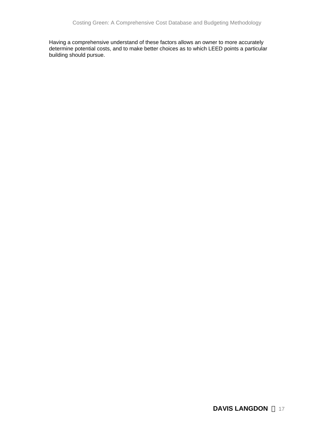Having a comprehensive understand of these factors allows an owner to more accurately determine potential costs, and to make better choices as to which LEED points a particular building should pursue.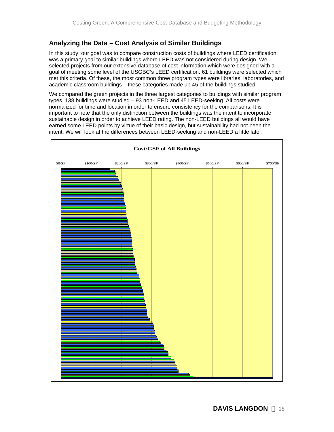# **Analyzing the Data – Cost Analysis of Similar Buildings**

In this study, our goal was to compare construction costs of buildings where LEED certification was a primary goal to similar buildings where LEED was not considered during design. We selected projects from our extensive database of cost information which were designed with a goal of meeting some level of the USGBC's LEED certification. 61 buildings were selected which met this criteria. Of these, the most common three program types were libraries, laboratories, and academic classroom buildings – these categories made up 45 of the buildings studied.

We compared the green projects in the three largest categories to buildings with similar program types. 138 buildings were studied – 93 non-LEED and 45 LEED-seeking. All costs were normalized for time and location in order to ensure consistency for the comparisons. It is important to note that the only distinction between the buildings was the intent to incorporate sustainable design in order to achieve LEED rating. The non-LEED buildings all would have earned some LEED points by virtue of their basic design, but sustainability had not been the intent. We will look at the differences between LEED-seeking and non-LEED a little later.

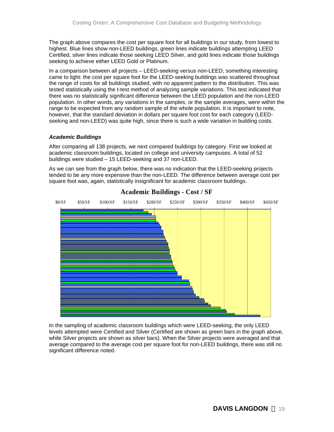The graph above compares the cost per square foot for all buildings in our study, from lowest to highest. Blue lines show non-LEED buildings, green lines indicate buildings attempting LEED Certified, silver lines indicate those seeking LEED Silver, and gold lines indicate those buildings seeking to achieve either LEED Gold or Platinum.

In a comparison between all projects – LEED-seeking versus non-LEED, something interesting came to light: the cost per square foot for the LEED-seeking buildings was scattered throughout the range of costs for all buildings studied, with no apparent pattern to the distribution. This was tested statistically using the t-test method of analyzing sample variations. This test indicated that there was no statistically significant difference between the LEED population and the non-LEED population. In other words, any variations in the samples, or the sample averages, were within the range to be expected from any random sample of the whole population. It is important to note, however, that the standard deviation in dollars per square foot cost for each category (LEEDseeking and non-LEED) was quite high, since there is such a wide variation in building costs.

### *Academic Buildings*

After comparing all 138 projects, we next compared buildings by category. First we looked at academic classroom buildings, located on college and university campuses. A total of 52 buildings were studied – 15 LEED-seeking and 37 non-LEED.

As we can see from the graph below, there was no indication that the LEED-seeking projects tended to be any more expensive than the non-LEED. The difference between average cost per square foot was, again, statistically insignificant for academic classroom buildings.



# **Academic Buildings - Cost / SF Academic Buildings - Cost / SF**

In the sampling of academic classroom buildings which were LEED-seeking, the only LEED levels attempted were Certified and Silver (Certified are shown as green bars in the graph above, while Silver projects are shown as silver bars). When the Silver projects were averaged and that average compared to the average cost per square foot for non-LEED buildings, there was still no significant difference noted.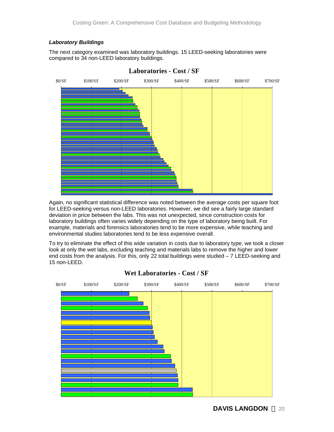# *Laboratory Buildings*

The next category examined was laboratory buildings. 15 LEED-seeking laboratories were compared to 34 non-LEED laboratory buildings.



# **Laboratories - Cost / SF**

Again, no significant statistical difference was noted between the average costs per square foot for LEED-seeking versus non-LEED laboratories. However, we did see a fairly large standard deviation in price between the labs. This was not unexpected, since construction costs for laboratory buildings often varies widely depending on the type of laboratory being built. For example, materials and forensics laboratories tend to be more expensive, while teaching and environmental studies laboratories tend to be less expensive overall.

To try to eliminate the effect of this wide variation in costs due to laboratory type, we took a closer look at only the wet labs, excluding teaching and materials labs to remove the higher and lower end costs from the analysis. For this, only 22 total buildings were studied  $-7$  LEED-seeking and 15 non-LEED.



# **Wet Laboratories - Cost / SF**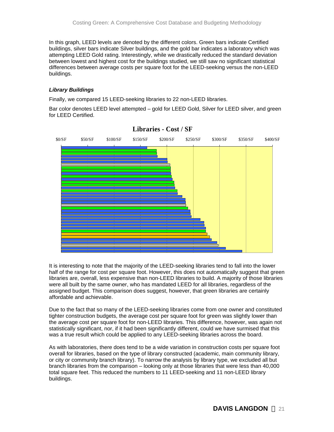In this graph, LEED levels are denoted by the different colors. Green bars indicate Certified buildings, silver bars indicate Silver buildings, and the gold bar indicates a laboratory which was attempting LEED Gold rating. Interestingly, while we drastically reduced the standard deviation between lowest and highest cost for the buildings studied, we still saw no significant statistical differences between average costs per square foot for the LEED-seeking versus the non-LEED buildings.

## *Library Buildings*

Finally, we compared 15 LEED-seeking libraries to 22 non-LEED libraries.

Bar color denotes LEED level attempted – gold for LEED Gold, Silver for LEED silver, and green for LEED Certified.



**Libraries - Cost / SF**

It is interesting to note that the majority of the LEED-seeking libraries tend to fall into the lower half of the range for cost per square foot. However, this does not automatically suggest that green libraries are, overall, less expensive than non-LEED libraries to build. A majority of those libraries were all built by the same owner, who has mandated LEED for all libraries, regardless of the assigned budget. This comparison does suggest, however, that green libraries are certainly affordable and achievable.

Due to the fact that so many of the LEED-seeking libraries come from one owner and constituted tighter construction budgets, the average cost per square foot for green was slightly lower than the average cost per square foot for non-LEED libraries. This difference, however, was again not statistically significant, nor, if it had been significantly different, could we have surmised that this was a true result which could be applied to any LEED-seeking libraries across the board.

As with laboratories, there does tend to be a wide variation in construction costs per square foot overall for libraries, based on the type of library constructed (academic, main community library, or city or community branch library). To narrow the analysis by library type, we excluded all but branch libraries from the comparison – looking only at those libraries that were less than 40,000 total square feet. This reduced the numbers to 11 LEED-seeking and 11 non-LEED library buildings.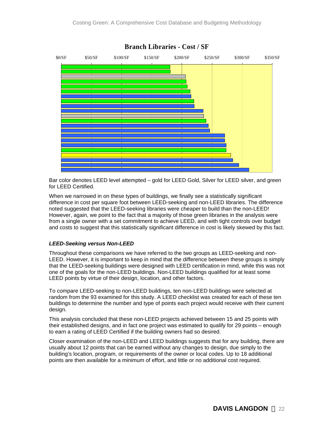

Bar color denotes LEED level attempted – gold for LEED Gold, Silver for LEED silver, and green for LEED Certified.

When we narrowed in on these types of buildings, we finally see a statistically significant difference in cost per square foot between LEED-seeking and non-LEED libraries. The difference noted suggested that the LEED-seeking libraries were cheaper to build than the non-LEED! However, again, we point to the fact that a majority of those green libraries in the analysis were from a single owner with a set commitment to achieve LEED, and with tight controls over budget and costs to suggest that this statistically significant difference in cost is likely skewed by this fact.

### *LEED-Seeking versus Non-LEED*

Throughout these comparisons we have referred to the two groups as LEED-seeking and non-LEED. However, it is important to keep in mind that the difference between these groups is simply that the LEED-seeking buildings were designed with LEED certification in mind, while this was not one of the goals for the non-LEED buildings. Non-LEED buildings qualified for at least some LEED points by virtue of their design, location, and other factors.

To compare LEED-seeking to non-LEED buildings, ten non-LEED buildings were selected at random from the 93 examined for this study. A LEED checklist was created for each of these ten buildings to determine the number and type of points each project would receive with their current design.

This analysis concluded that these non-LEED projects achieved between 15 and 25 points with their established designs, and in fact one project was estimated to qualify for 29 points – enough to earn a rating of LEED Certified if the building owners had so desired.

Closer examination of the non-LEED and LEED buildings suggests that for any building, there are usually about 12 points that can be earned without any changes to design, due simply to the building's location, program, or requirements of the owner or local codes. Up to 18 additional points are then available for a minimum of effort, and little or no additional cost required.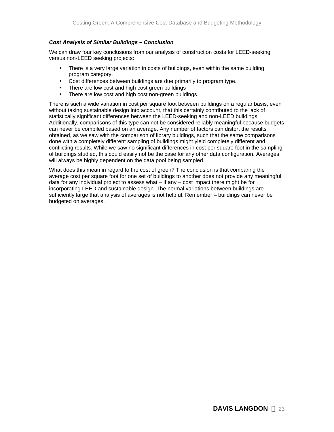### *Cost Analysis of Similar Buildings – Conclusion*

We can draw four key conclusions from our analysis of construction costs for LEED-seeking versus non-LEED seeking projects:

- There is a very large variation in costs of buildings, even within the same building program category.
- Cost differences between buildings are due primarily to program type.
- There are low cost and high cost green buildings
- There are low cost and high cost non-green buildings.

There is such a wide variation in cost per square foot between buildings on a regular basis, even without taking sustainable design into account, that this certainly contributed to the lack of statistically significant differences between the LEED-seeking and non-LEED buildings. Additionally, comparisons of this type can not be considered reliably meaningful because budgets can never be compiled based on an average. Any number of factors can distort the results obtained, as we saw with the comparison of library buildings, such that the same comparisons done with a completely different sampling of buildings might yield completely different and conflicting results. While we saw no significant differences in cost per square foot in the sampling of buildings studied, this could easily not be the case for any other data configuration. Averages will always be highly dependent on the data pool being sampled.

What does this mean in regard to the cost of green? The conclusion is that comparing the average cost per square foot for one set of buildings to another does not provide any meaningful data for any individual project to assess what – if any – cost impact there might be for incorporating LEED and sustainable design. The normal variations between buildings are sufficiently large that analysis of averages is not helpful. Remember – buildings can never be budgeted on averages.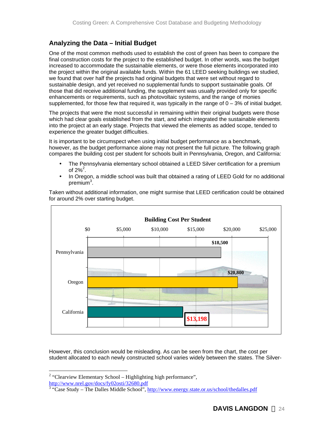# **Analyzing the Data – Initial Budget**

One of the most common methods used to establish the cost of green has been to compare the final construction costs for the project to the established budget. In other words, was the budget increased to accommodate the sustainable elements, or were those elements incorporated into the project within the original available funds. Within the 61 LEED seeking buildings we studied, we found that over half the projects had original budgets that were set without regard to sustainable design, and yet received no supplemental funds to support sustainable goals. Of those that did receive additional funding, the supplement was usually provided only for specific enhancements or requirements, such as photovoltaic systems, and the range of monies supplemented, for those few that required it, was typically in the range of  $0 - 3%$  of initial budget.

The projects that were the most successful in remaining within their original budgets were those which had clear goals established from the start, and which integrated the sustainable elements into the project at an early stage. Projects that viewed the elements as added scope, tended to experience the greater budget difficulties.

It is important to be circumspect when using initial budget performance as a benchmark, however, as the budget performance alone may not present the full picture. The following graph compares the building cost per student for schools built in Pennsylvania, Oregon, and California:

- The Pennsylvania elementary school obtained a LEED Silver certification for a premium of 2% $^2$ .
- In Oregon, a middle school was built that obtained a rating of LEED Gold for no additional premium $3$ .



Taken without additional information, one might surmise that LEED certification could be obtained for around 2% over starting budget.

However, this conclusion would be misleading. As can be seen from the chart, the cost per student allocated to each newly constructed school varies widely between the states. The Silver-

1  $2$  "Clearview Elementary School – Highlighting high performance", http://www.nrel.gov/docs/fy02osti/32680.pdf

<sup>&</sup>lt;sup>3</sup> "Case Study – The Dalles Middle School", http://www.energy.state.or.us/school/thedalles.pdf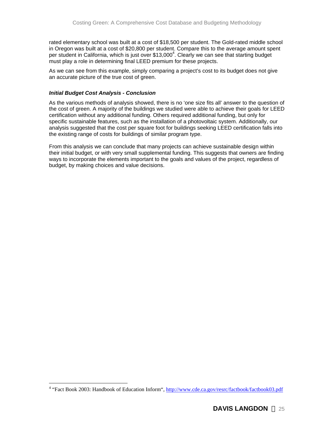rated elementary school was built at a cost of \$18,500 per student. The Gold-rated middle school in Oregon was built at a cost of \$20,800 per student. Compare this to the average amount spent per student in California, which is just over \$13,000<sup>4</sup>. Clearly we can see that starting budget must play a role in determining final LEED premium for these projects.

As we can see from this example, simply comparing a project's cost to its budget does not give an accurate picture of the true cost of green.

## *Initial Budget Cost Analysis - Conclusion*

1

As the various methods of analysis showed, there is no 'one size fits all' answer to the question of the cost of green. A majority of the buildings we studied were able to achieve their goals for LEED certification without any additional funding. Others required additional funding, but only for specific sustainable features, such as the installation of a photovoltaic system. Additionally, our analysis suggested that the cost per square foot for buildings seeking LEED certification falls into the existing range of costs for buildings of similar program type.

From this analysis we can conclude that many projects can achieve sustainable design within their initial budget, or with very small supplemental funding. This suggests that owners are finding ways to incorporate the elements important to the goals and values of the project, regardless of budget, by making choices and value decisions.

<sup>&</sup>lt;sup>4</sup> "Fact Book 2003: Handbook of Education Inform", http://www.cde.ca.gov/resrc/factbook/factbook03.pdf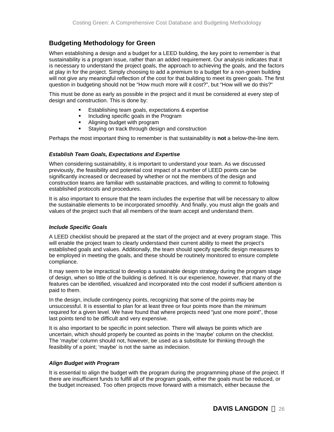# **Budgeting Methodology for Green**

When establishing a design and a budget for a LEED building, the key point to remember is that sustainability is a program issue, rather than an added requirement. Our analysis indicates that it is necessary to understand the project goals, the approach to achieving the goals, and the factors at play in for the project. Simply choosing to add a premium to a budget for a non-green building will not give any meaningful reflection of the cost for that building to meet its green goals. The first question in budgeting should not be "How much more will it cost?", but "How will we do this?"

This must be done as early as possible in the project and it must be considered at every step of design and construction. This is done by:

- **Establishing team goals, expectations & expertise**
- **Including specific goals in the Program**
- ß Aligning budget with program
- Staying on track through design and construction

Perhaps the most important thing to remember is that sustainability is **not** a below-the-line item.

### *Establish Team Goals, Expectations and Expertise*

When considering sustainability, it is important to understand your team. As we discussed previously, the feasibility and potential cost impact of a number of LEED points can be significantly increased or decreased by whether or not the members of the design and construction teams are familiar with sustainable practices, and willing to commit to following established protocols and procedures.

It is also important to ensure that the team includes the expertise that will be necessary to allow the sustainable elements to be incorporated smoothly. And finally, you must align the goals and values of the project such that all members of the team accept and understand them.

### *Include Specific Goals*

A LEED checklist should be prepared at the start of the project and at every program stage. This will enable the project team to clearly understand their current ability to meet the project's established goals and values. Additionally, the team should specify specific design measures to be employed in meeting the goals, and these should be routinely monitored to ensure complete compliance.

It may seem to be impractical to develop a sustainable design strategy during the program stage of design, when so little of the building is defined. It is our experience, however, that many of the features can be identified, visualized and incorporated into the cost model if sufficient attention is paid to them.

In the design, include contingency points, recognizing that some of the points may be unsuccessful. It is essential to plan for at least three or four points more than the minimum required for a given level. We have found that where projects need "just one more point", those last points tend to be difficult and very expensive.

It is also important to be specific in point selection. There will always be points which are uncertain, which should properly be counted as points in the 'maybe' column on the checklist. The 'maybe' column should not, however, be used as a substitute for thinking through the feasibility of a point; 'maybe' is not the same as indecision.

### *Align Budget with Program*

It is essential to align the budget with the program during the programming phase of the project. If there are insufficient funds to fulfill all of the program goals, either the goals must be reduced, or the budget increased. Too often projects move forward with a mismatch, either because the